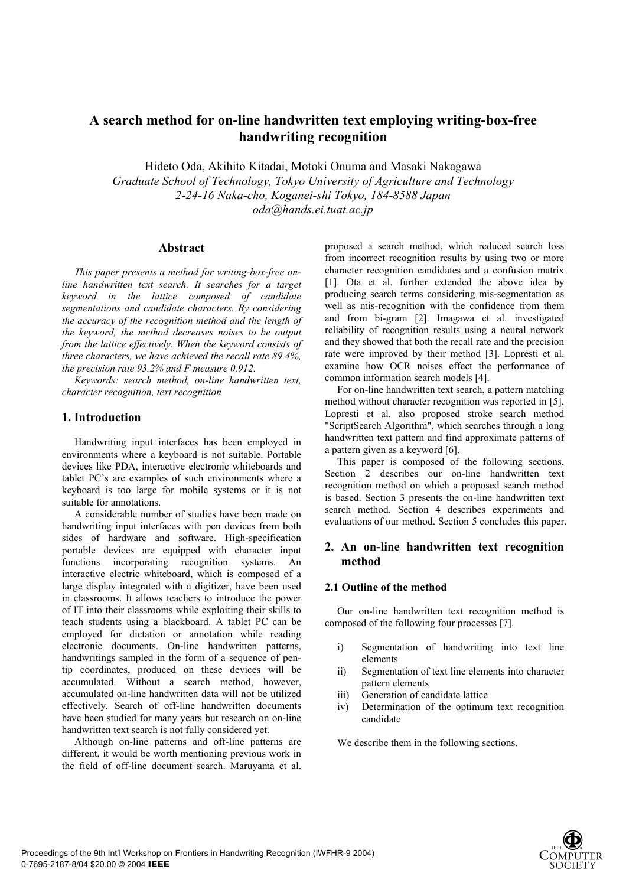# **A search method for on-line handwritten text employing writing-box-free handwriting recognition**

Hideto Oda, Akihito Kitadai, Motoki Onuma and Masaki Nakagawa *Graduate School of Technology, Tokyo University of Agriculture and Technology 2-24-16 Naka-cho, Koganei-shi Tokyo, 184-8588 Japan oda@hands.ei.tuat.ac.jp*

#### **Abstract**

*This paper presents a method for writing-box-free online handwritten text search. It searches for a target keyword in the lattice composed of candidate segmentations and candidate characters. By considering the accuracy of the recognition method and the length of the keyword, the method decreases noises to be output from the lattice effectively. When the keyword consists of three characters, we have achieved the recall rate 89.4%, the precision rate 93.2% and F measure 0.912.* 

*Keywords: search method, on-line handwritten text, character recognition, text recognition* 

## **1. Introduction**

Handwriting input interfaces has been employed in environments where a keyboard is not suitable. Portable devices like PDA, interactive electronic whiteboards and tablet PC's are examples of such environments where a keyboard is too large for mobile systems or it is not suitable for annotations.

A considerable number of studies have been made on handwriting input interfaces with pen devices from both sides of hardware and software. High-specification portable devices are equipped with character input functions incorporating recognition systems. An interactive electric whiteboard, which is composed of a large display integrated with a digitizer, have been used in classrooms. It allows teachers to introduce the power of IT into their classrooms while exploiting their skills to teach students using a blackboard. A tablet PC can be employed for dictation or annotation while reading electronic documents. On-line handwritten patterns, handwritings sampled in the form of a sequence of pentip coordinates, produced on these devices will be accumulated. Without a search method, however, accumulated on-line handwritten data will not be utilized effectively. Search of off-line handwritten documents have been studied for many years but research on on-line handwritten text search is not fully considered yet.

Although on-line patterns and off-line patterns are different, it would be worth mentioning previous work in the field of off-line document search. Maruyama et al.

proposed a search method, which reduced search loss from incorrect recognition results by using two or more character recognition candidates and a confusion matrix [1]. Ota et al. further extended the above idea by producing search terms considering mis-segmentation as well as mis-recognition with the confidence from them and from bi-gram [2]. Imagawa et al. investigated reliability of recognition results using a neural network and they showed that both the recall rate and the precision rate were improved by their method [3]. Lopresti et al. examine how OCR noises effect the performance of common information search models [4].

For on-line handwritten text search, a pattern matching method without character recognition was reported in [5]. Lopresti et al. also proposed stroke search method "ScriptSearch Algorithm", which searches through a long handwritten text pattern and find approximate patterns of a pattern given as a keyword [6].

This paper is composed of the following sections. Section 2 describes our on-line handwritten text recognition method on which a proposed search method is based. Section 3 presents the on-line handwritten text search method. Section 4 describes experiments and evaluations of our method. Section 5 concludes this paper.

# **2. An on-line handwritten text recognition method**

## **2.1 Outline of the method**

Our on-line handwritten text recognition method is composed of the following four processes [7].

- i) Segmentation of handwriting into text line elements
- ii) Segmentation of text line elements into character pattern elements
- iii) Generation of candidate lattice
- iv) Determination of the optimum text recognition candidate

We describe them in the following sections.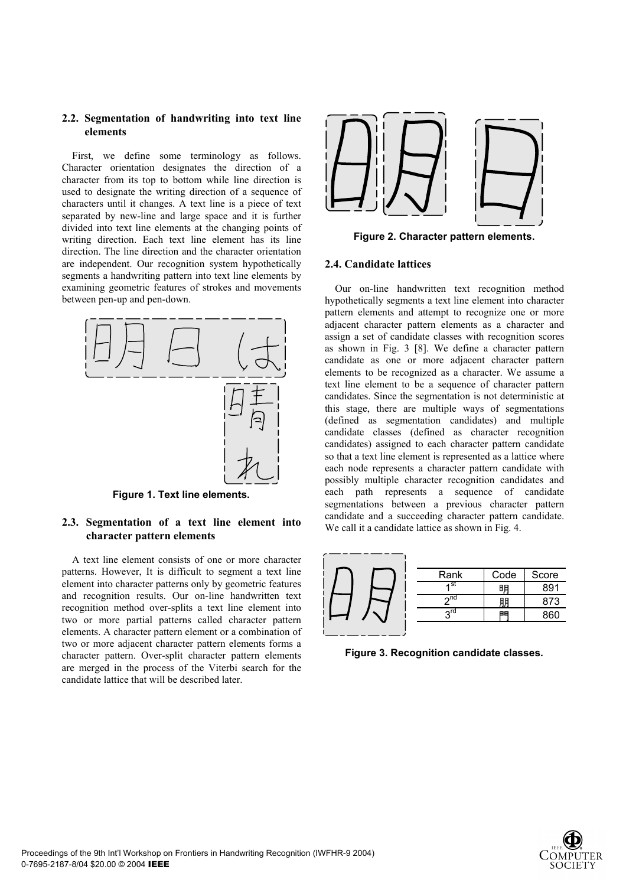## **2.2. Segmentation of handwriting into text line elements**

First, we define some terminology as follows. Character orientation designates the direction of a character from its top to bottom while line direction is used to designate the writing direction of a sequence of characters until it changes. A text line is a piece of text separated by new-line and large space and it is further divided into text line elements at the changing points of writing direction. Each text line element has its line direction. The line direction and the character orientation are independent. Our recognition system hypothetically segments a handwriting pattern into text line elements by examining geometric features of strokes and movements between pen-up and pen-down.



**Figure 1. Text line elements.** 

# **2.3. Segmentation of a text line element into character pattern elements**

A text line element consists of one or more character patterns. However, It is difficult to segment a text line element into character patterns only by geometric features and recognition results. Our on-line handwritten text recognition method over-splits a text line element into two or more partial patterns called character pattern elements. A character pattern element or a combination of two or more adjacent character pattern elements forms a character pattern. Over-split character pattern elements are merged in the process of the Viterbi search for the candidate lattice that will be described later.



**Figure 2. Character pattern elements.** 

#### **2.4. Candidate lattices**

Our on-line handwritten text recognition method hypothetically segments a text line element into character pattern elements and attempt to recognize one or more adjacent character pattern elements as a character and assign a set of candidate classes with recognition scores as shown in Fig. 3 [8]. We define a character pattern candidate as one or more adjacent character pattern elements to be recognized as a character. We assume a text line element to be a sequence of character pattern candidates. Since the segmentation is not deterministic at this stage, there are multiple ways of segmentations (defined as segmentation candidates) and multiple candidate classes (defined as character recognition candidates) assigned to each character pattern candidate so that a text line element is represented as a lattice where each node represents a character pattern candidate with possibly multiple character recognition candidates and each path represents a sequence of candidate segmentations between a previous character pattern candidate and a succeeding character pattern candidate. We call it a candidate lattice as shown in Fig. 4.

|  | Rank            | Code | Score |
|--|-----------------|------|-------|
|  | ⊿ St            | 明    | RQ1   |
|  | $\mathsf{h}$ nd | 朋    | 873   |
|  | rdي             | 88   | 860   |
|  |                 |      |       |

**Figure 3. Recognition candidate classes.** 

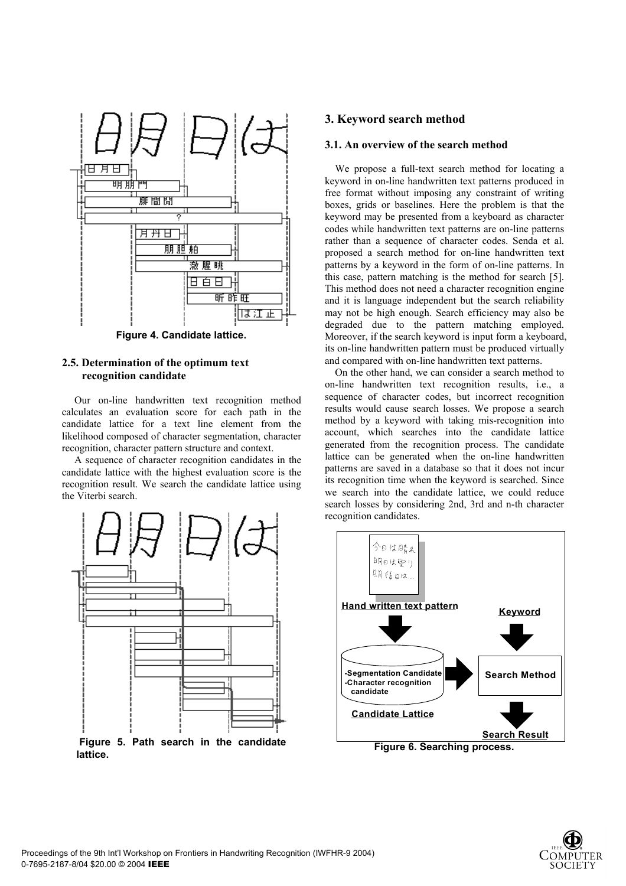

**Figure 4. Candidate lattice.** 

## **2.5. Determination of the optimum text recognition candidate**

Our on-line handwritten text recognition method calculates an evaluation score for each path in the candidate lattice for a text line element from the likelihood composed of character segmentation, character recognition, character pattern structure and context.

A sequence of character recognition candidates in the candidate lattice with the highest evaluation score is the recognition result. We search the candidate lattice using the Viterbi search.



**lattice.** 

# **3. Keyword search method**

#### **3.1. An overview of the search method**

We propose a full-text search method for locating a keyword in on-line handwritten text patterns produced in free format without imposing any constraint of writing boxes, grids or baselines. Here the problem is that the keyword may be presented from a keyboard as character codes while handwritten text patterns are on-line patterns rather than a sequence of character codes. Senda et al. proposed a search method for on-line handwritten text patterns by a keyword in the form of on-line patterns. In this case, pattern matching is the method for search [5]. This method does not need a character recognition engine and it is language independent but the search reliability may not be high enough. Search efficiency may also be degraded due to the pattern matching employed. Moreover, if the search keyword is input form a keyboard, its on-line handwritten pattern must be produced virtually and compared with on-line handwritten text patterns.

On the other hand, we can consider a search method to on-line handwritten text recognition results, i.e., a sequence of character codes, but incorrect recognition results would cause search losses. We propose a search method by a keyword with taking mis-recognition into account, which searches into the candidate lattice generated from the recognition process. The candidate lattice can be generated when the on-line handwritten patterns are saved in a database so that it does not incur its recognition time when the keyword is searched. Since we search into the candidate lattice, we could reduce search losses by considering 2nd, 3rd and n-th character recognition candidates.



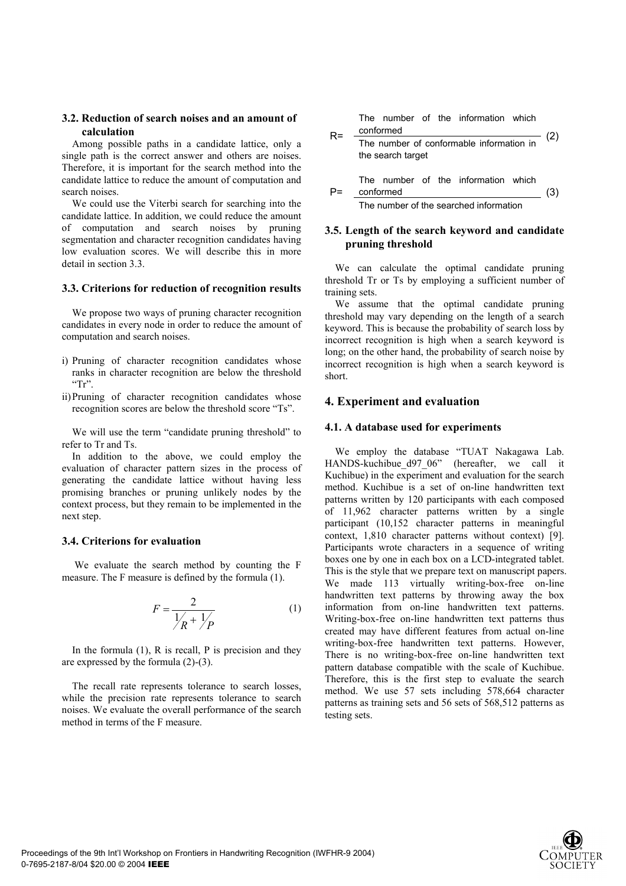## **3.2. Reduction of search noises and an amount of calculation**

Among possible paths in a candidate lattice, only a single path is the correct answer and others are noises. Therefore, it is important for the search method into the candidate lattice to reduce the amount of computation and search noises.

We could use the Viterbi search for searching into the candidate lattice. In addition, we could reduce the amount of computation and search noises by pruning segmentation and character recognition candidates having low evaluation scores. We will describe this in more detail in section 3.3.

#### **3.3. Criterions for reduction of recognition results**

We propose two ways of pruning character recognition candidates in every node in order to reduce the amount of computation and search noises.

- i) Pruning of character recognition candidates whose ranks in character recognition are below the threshold  $Tr$
- ii) Pruning of character recognition candidates whose recognition scores are below the threshold score "Ts".

We will use the term "candidate pruning threshold" to refer to Tr and Ts.

In addition to the above, we could employ the evaluation of character pattern sizes in the process of generating the candidate lattice without having less promising branches or pruning unlikely nodes by the context process, but they remain to be implemented in the next step.

#### **3.4. Criterions for evaluation**

We evaluate the search method by counting the F measure. The F measure is defined by the formula (1).

$$
F = \frac{2}{\frac{1}{R} + \frac{1}{P}}
$$
 (1)

In the formula  $(1)$ , R is recall, P is precision and they are expressed by the formula (2)-(3).

The recall rate represents tolerance to search losses, while the precision rate represents tolerance to search noises. We evaluate the overall performance of the search method in terms of the F measure.

The number of the information which  
\n
$$
R = \frac{\text{conformed}}{\text{The number of conformable information in}}
$$
\n(2)  
\nthe search target  
\nThe number of the information which  
\n
$$
P = \frac{\text{conformed}}{\text{conformed}}
$$
\n(3)

The number of the searched information

## **3.5. Length of the search keyword and candidate pruning threshold**

We can calculate the optimal candidate pruning threshold Tr or Ts by employing a sufficient number of training sets.

We assume that the optimal candidate pruning threshold may vary depending on the length of a search keyword. This is because the probability of search loss by incorrect recognition is high when a search keyword is long; on the other hand, the probability of search noise by incorrect recognition is high when a search keyword is short.

## **4. Experiment and evaluation**

#### **4.1. A database used for experiments**

We employ the database "TUAT Nakagawa Lab. HANDS-kuchibue d97 06" (hereafter, we call it Kuchibue) in the experiment and evaluation for the search method. Kuchibue is a set of on-line handwritten text patterns written by 120 participants with each composed of 11,962 character patterns written by a single participant (10,152 character patterns in meaningful context, 1,810 character patterns without context) [9]. Participants wrote characters in a sequence of writing boxes one by one in each box on a LCD-integrated tablet. This is the style that we prepare text on manuscript papers. We made 113 virtually writing-box-free on-line handwritten text patterns by throwing away the box information from on-line handwritten text patterns. Writing-box-free on-line handwritten text patterns thus created may have different features from actual on-line writing-box-free handwritten text patterns. However, There is no writing-box-free on-line handwritten text pattern database compatible with the scale of Kuchibue. Therefore, this is the first step to evaluate the search method. We use 57 sets including 578,664 character patterns as training sets and 56 sets of 568,512 patterns as testing sets.

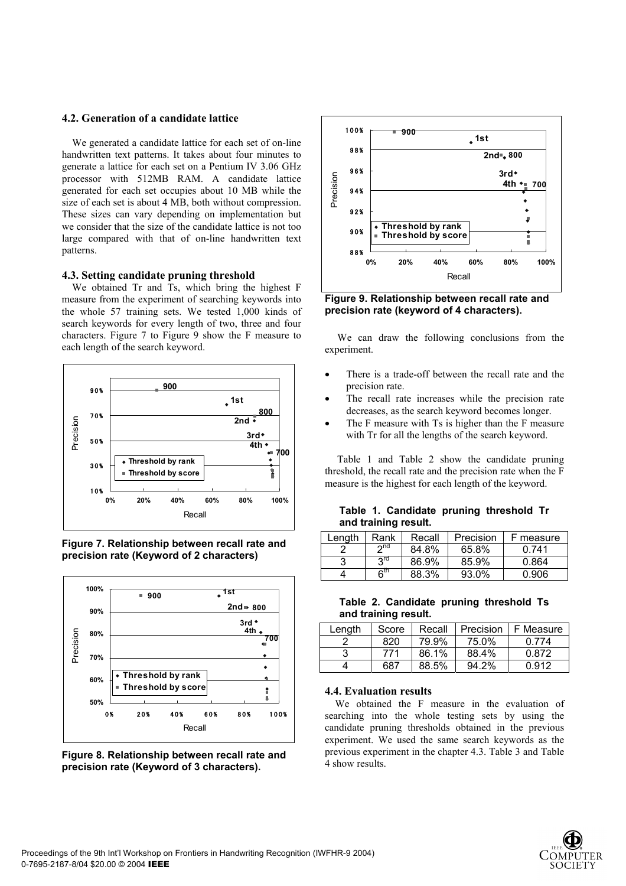## **4.2. Generation of a candidate lattice**

We generated a candidate lattice for each set of on-line handwritten text patterns. It takes about four minutes to generate a lattice for each set on a Pentium IV 3.06 GHz processor with 512MB RAM. A candidate lattice generated for each set occupies about 10 MB while the size of each set is about 4 MB, both without compression. These sizes can vary depending on implementation but we consider that the size of the candidate lattice is not too large compared with that of on-line handwritten text patterns.

## **4.3. Setting candidate pruning threshold**

We obtained Tr and Ts, which bring the highest F measure from the experiment of searching keywords into the whole 57 training sets. We tested 1,000 kinds of search keywords for every length of two, three and four characters. Figure 7 to Figure 9 show the F measure to each length of the search keyword.



**Figure 7. Relationship between recall rate and precision rate (Keyword of 2 characters)** 







**Figure 9. Relationship between recall rate and precision rate (keyword of 4 characters).** 

We can draw the following conclusions from the experiment.

- There is a trade-off between the recall rate and the precision rate.
- The recall rate increases while the precision rate decreases, as the search keyword becomes longer.
- The F measure with Ts is higher than the F measure with Tr for all the lengths of the search keyword.

Table 1 and Table 2 show the candidate pruning threshold, the recall rate and the precision rate when the F measure is the highest for each length of the keyword.

## **Table 1. Candidate pruning threshold Tr and training result.**

| Lenath | Rank            | Recall | Precision | F measure |
|--------|-----------------|--------|-----------|-----------|
|        | ∩∩ת             | 84.8%  | 65.8%     | 0.741     |
| 3      | rd ج            | 86.9%  | 85.9%     | 0.864     |
|        | 6 <sup>th</sup> | 88.3%  | 93.0%     | 0.906     |

| Table 2. Candidate pruning threshold Ts |  |  |
|-----------------------------------------|--|--|
| and training result.                    |  |  |

| Length | Score | Recall | Precision | F Measure |
|--------|-------|--------|-----------|-----------|
|        | 820   | 79.9%  | 75.0%     | 0.774     |
|        | 771   | 86.1%  | 88.4%     | 0.872     |
|        | 687   | 88.5%  | 94.2%     | 0.912     |

#### **4.4. Evaluation results**

We obtained the F measure in the evaluation of searching into the whole testing sets by using the candidate pruning thresholds obtained in the previous experiment. We used the same search keywords as the previous experiment in the chapter 4.3. Table 3 and Table 4 show results.